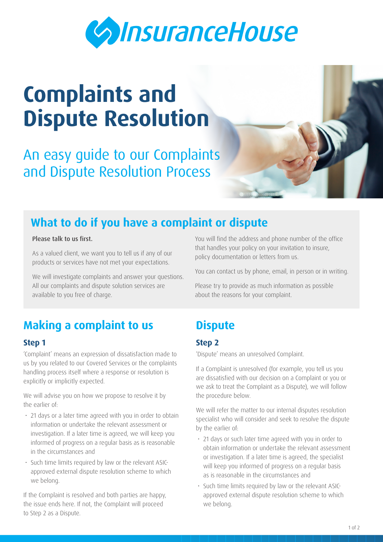

# **Complaints and Dispute Resolution**

An easy guide to our Complaints and Dispute Resolution Process

## **What to do if you have a complaint or dispute**

#### Please talk to us first.

As a valued client, we want you to tell us if any of our products or services have not met your expectations.

We will investigate complaints and answer your questions. All our complaints and dispute solution services are available to you free of charge.

## **Making a complaint to us**

#### **Step 1**

'Complaint' means an expression of dissatisfaction made to us by you related to our Covered Services or the complaints handling process itself where a response or resolution is explicitly or implicitly expected.

We will advise you on how we propose to resolve it by the earlier of:

- 21 days or a later time agreed with you in order to obtain information or undertake the relevant assessment or investigation. If a later time is agreed, we will keep you informed of progress on a regular basis as is reasonable in the circumstances and
- Such time limits required by law or the relevant ASICapproved external dispute resolution scheme to which we belong.

If the Complaint is resolved and both parties are happy, the issue ends here. If not, the Complaint will proceed to Step 2 as a Dispute.

You will find the address and phone number of the office that handles your policy on your invitation to insure, policy documentation or letters from us.

You can contact us by phone, email, in person or in writing.

Please try to provide as much information as possible about the reasons for your complaint.

## **Dispute**

#### **Step 2**

'Dispute' means an unresolved Complaint.

If a Complaint is unresolved (for example, you tell us you are dissatisfied with our decision on a Complaint or you or we ask to treat the Complaint as a Dispute), we will follow the procedure below.

We will refer the matter to our internal disputes resolution specialist who will consider and seek to resolve the dispute by the earlier of:

- 21 days or such later time agreed with you in order to obtain information or undertake the relevant assessment or investigation. If a later time is agreed, the specialist will keep you informed of progress on a regular basis as is reasonable in the circumstances and
- Such time limits required by law or the relevant ASICapproved external dispute resolution scheme to which we belong.